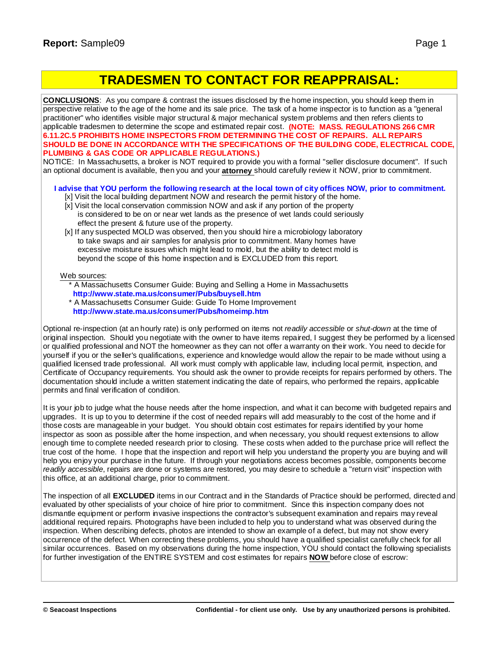# **TRADESMEN TO CONTACT FOR REAPPRAISAL:**

**CONCLUSIONS**: As you compare & contrast the issues disclosed by the home inspection, you should keep them in perspective relative to the age of the home and its sale price. The task of a home inspector is to function as a "general practitioner" who identifies visible major structural & major mechanical system problems and then refers clients to applicable tradesmen to determine the scope and estimated repair cost. **(NOTE: MASS. REGULATIONS 266 CMR 6.11.2C.5 PROHIBITS HOME INSPECTORS FROM DETERMINING THE COST OF REPAIRS. ALL REPAIRS SHOULD BE DONE IN ACCORDANCE WITH THE SPECIFICATIONS OF THE BUILDING CODE, ELECTRICAL CODE, PLUMBING & GAS CODE OR APPLICABLE REGULATIONS.)**

NOTICE: In Massachusetts, a broker is NOT required to provide you with a formal "seller disclosure document". If such an optional document is available, then you and your **attorney** should carefully review it NOW, prior to commitment.

### I advise that YOU perform the following research at the local town of city offices NOW, prior to commitment.

- [x] Visit the local building department NOW and research the permit history of the home.
- [x] Visit the local conservation commission NOW and ask if any portion of the property is considered to be on or near wet lands as the presence of wet lands could seriously effect the present & future use of the property.
- [x] If any suspected MOLD was observed, then you should hire a microbiology laboratory to take swaps and air samples for analysis prior to commitment. Many homes have excessive moisture issues which might lead to mold, but the ability to detect mold is beyond the scope of this home inspection and is EXCLUDED from this report.

### Web sources:

- \* A Massachusetts Consumer Guide: Buying and Selling a Home in Massachusetts **[http://ww](http://www.state.ma.us/consumer/Pubs/buysell.htm)[w.state.ma.us/consumer/Pubs/buysell.htm](www.state.ma.us/consumer/Pubs/buysell.htm)**
- \* A Massachusetts Consumer Guide: Guide To Home Improvement **[http://ww](http://www.state.ma.us/consumer/Pubs/homeimp.htm)[w.state.ma.us/consumer/Pubs/homeimp.htm](www.state.ma.us/consumer/Pubs/homeimp.htm)**

Optional re-inspection (at an hourly rate) is only performed on items not *readily accessible* or *shut-down* at the time of original inspection. Should you negotiate with the owner to have items repaired, I suggest they be performed by a licensed or qualified professional and NOT the homeowner as they can not offer a warranty on their work. You need to decide for yourself if you or the seller's qualifications, experience and knowledge would allow the repair to be made without using a qualified licensed trade professional. All work must comply with applicable law, including local permit, inspection, and Certificate of Occupancy requirements. You should ask the owner to provide receipts for repairs performed by others. The documentation should include a written statement indicating the date of repairs, who performed the repairs, applicable permits and final verification of condition.

It is your job to judge what the house needs after the home inspection, and what it can become with budgeted repairs and upgrades. It is up to you to determine if the cost of needed repairs will add measurably to the cost of the home and if those costs are manageable in your budget. You should obtain cost estimates for repairs identified by your home inspector as soon as possible after the home inspection, and when necessary, you should request extensions to allow enough time to complete needed research prior to closing. These costs when added to the purchase price will reflect the true cost of the home. I hope that the inspection and report will help you understand the property you are buying and will help you enjoy your purchase in the future. If through your negotiations access becomes possible, components become *readily accessible*, repairs are done or systems are restored, you may desire to schedule a "return visit" inspection with this office, at an additional charge, prior to commitment.

The inspection of all **EXCLUDED** items in our Contract and in the Standards of Practice should be performed, directed and evaluated by other specialists of your choice of hire prior to commitment. Since this inspection company does not dismantle equipment or perform invasive inspections the contractor's subsequent examination and repairs may reveal additional required repairs. Photographs have been included to help you to understand what was observed during the inspection. When describing defects, photos are intended to show an example of a defect, but may not show every occurrence of the defect. When correcting these problems, you should have a qualified specialist carefully check for all similar occurrences. Based on my observations during the home inspection, YOU should contact the following specialists for further investigation of the ENTIRE SYSTEM and cost estimates for repairs **NOW** before close of escrow: